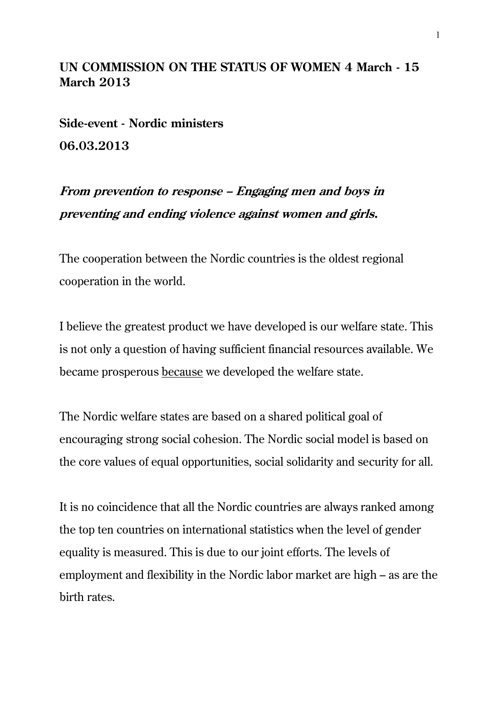## **UN COMMISSION ON THE STATUS OF WOMEN 4 March - 15 March 2013**

**Side-event - Nordic ministers 06.03.2013**

**From prevention to response – Engaging men and boys in preventing and ending violence against women and girls.**

The cooperation between the Nordic countries is the oldest regional cooperation in the world.

I believe the greatest product we have developed is our welfare state. This is not only a question of having sufficient financial resources available. We became prosperous because we developed the welfare state.

The Nordic welfare states are based on a shared political goal of encouraging strong social cohesion. The Nordic social model is based on the core values of equal opportunities, social solidarity and security for all.

It is no coincidence that all the Nordic countries are always ranked among the top ten countries on international statistics when the level of gender equality is measured. This is due to our joint efforts. The levels of employment and flexibility in the Nordic labor market are high – as are the birth rates.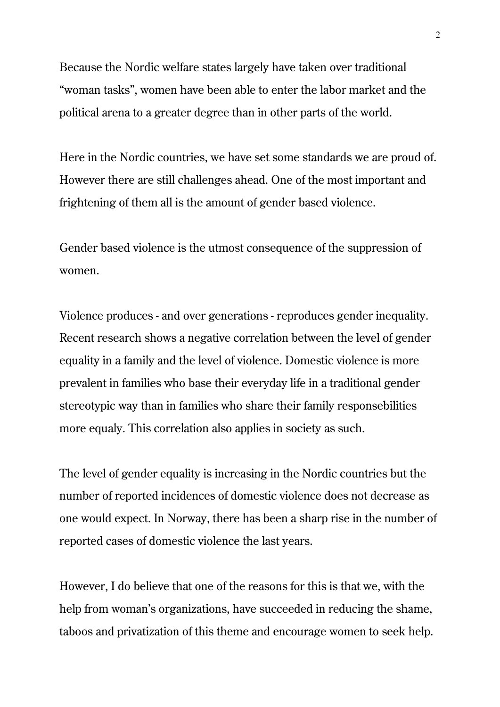Because the Nordic welfare states largely have taken over traditional "woman tasks", women have been able to enter the labor market and the political arena to a greater degree than in other parts of the world.

Here in the Nordic countries, we have set some standards we are proud of. However there are still challenges ahead. One of the most important and frightening of them all is the amount of gender based violence.

Gender based violence is the utmost consequence of the suppression of women.

Violence produces - and over generations - reproduces gender inequality. Recent research shows a negative correlation between the level of gender equality in a family and the level of violence. Domestic violence is more prevalent in families who base their everyday life in a traditional gender stereotypic way than in families who share their family responsebilities more equaly. This correlation also applies in society as such.

The level of gender equality is increasing in the Nordic countries but the number of reported incidences of domestic violence does not decrease as one would expect. In Norway, there has been a sharp rise in the number of reported cases of domestic violence the last years.

However, I do believe that one of the reasons for this is that we, with the help from woman's organizations, have succeeded in reducing the shame, taboos and privatization of this theme and encourage women to seek help.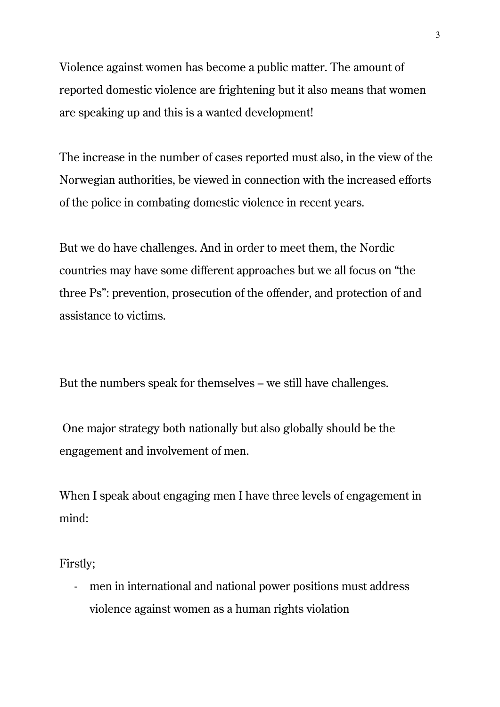Violence against women has become a public matter. The amount of reported domestic violence are frightening but it also means that women are speaking up and this is a wanted development!

The increase in the number of cases reported must also, in the view of the Norwegian authorities, be viewed in connection with the increased efforts of the police in combating domestic violence in recent years.

But we do have challenges. And in order to meet them, the Nordic countries may have some different approaches but we all focus on "the three Ps": prevention, prosecution of the offender, and protection of and assistance to victims.

But the numbers speak for themselves – we still have challenges.

One major strategy both nationally but also globally should be the engagement and involvement of men.

When I speak about engaging men I have three levels of engagement in mind:

Firstly;

- men in international and national power positions must address violence against women as a human rights violation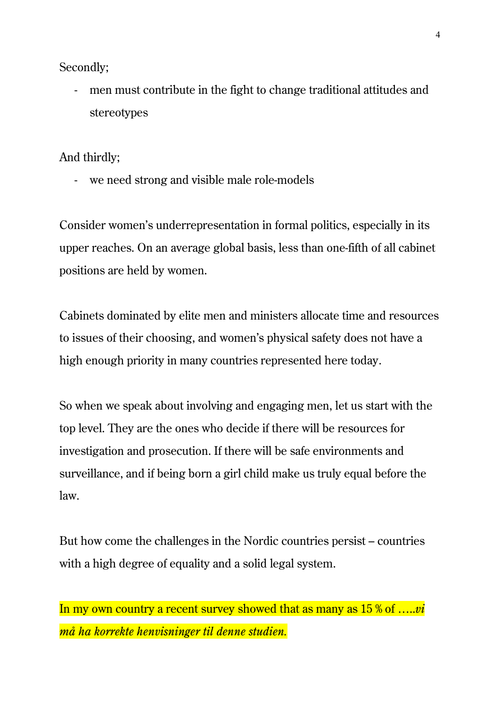Secondly;

- men must contribute in the fight to change traditional attitudes and stereotypes

And thirdly;

- we need strong and visible male role-models

Consider women's underrepresentation in formal politics, especially in its upper reaches. On an average global basis, less than one-fifth of all cabinet positions are held by women.

Cabinets dominated by elite men and ministers allocate time and resources to issues of their choosing, and women's physical safety does not have a high enough priority in many countries represented here today.

So when we speak about involving and engaging men, let us start with the top level. They are the ones who decide if there will be resources for investigation and prosecution. If there will be safe environments and surveillance, and if being born a girl child make us truly equal before the law.

But how come the challenges in the Nordic countries persist – countries with a high degree of equality and a solid legal system.

## In my own country a recent survey showed that as many as 15 % of …..*vi må ha korrekte henvisninger til denne studien.*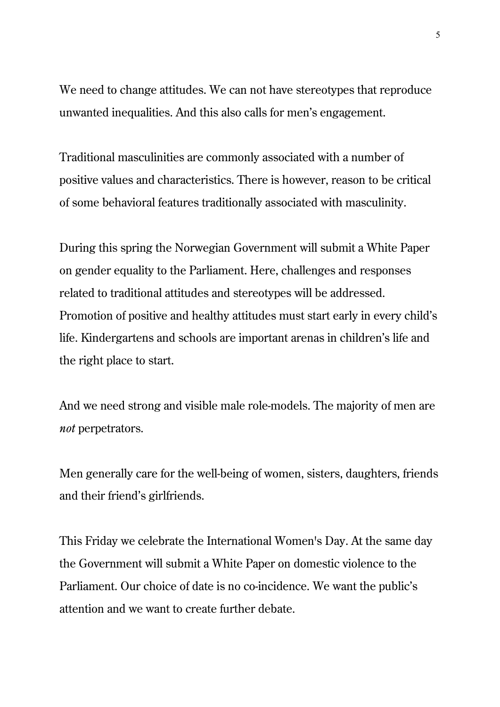We need to change attitudes. We can not have stereotypes that reproduce unwanted inequalities. And this also calls for men's engagement.

Traditional masculinities are commonly associated with a number of positive values and characteristics. There is however, reason to be critical of some behavioral features traditionally associated with masculinity.

During this spring the Norwegian Government will submit a White Paper on gender equality to the Parliament. Here, challenges and responses related to traditional attitudes and stereotypes will be addressed. Promotion of positive and healthy attitudes must start early in every child's life. Kindergartens and schools are important arenas in children's life and the right place to start.

And we need strong and visible male role-models. The majority of men are *not* perpetrators.

Men generally care for the well-being of women, sisters, daughters, friends and their friend's girlfriends.

This Friday we celebrate the International Women's Day. At the same day the Government will submit a White Paper on domestic violence to the Parliament. Our choice of date is no co-incidence. We want the public's attention and we want to create further debate.